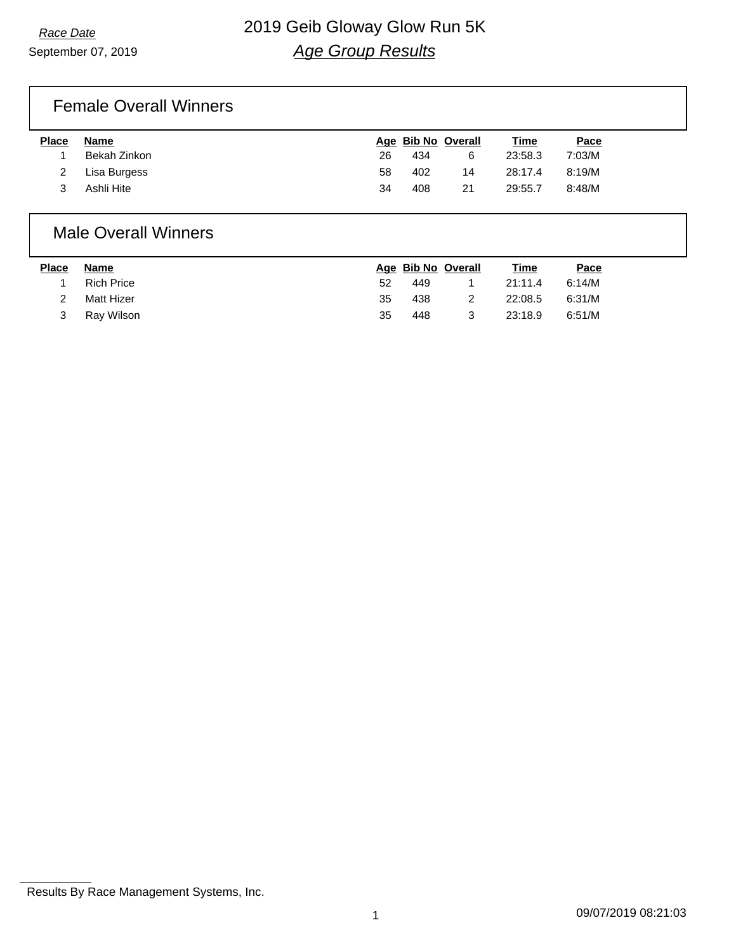## *Race Date* 2019 Geib Gloway Glow Run 5K *Age Group Results*

### Female Overall Winners

| <b>Place</b> | Name         |    |     | Age Bib No Overall | <u>Time</u> | Pace   |
|--------------|--------------|----|-----|--------------------|-------------|--------|
|              | Bekah Zinkon | 26 | 434 | 6                  | 23:58.3     | 7:03/M |
|              | Lisa Burgess | 58 | 402 | 14                 | 28:17.4     | 8:19/M |
|              | Ashli Hite   | 34 | 408 | 21                 | 29:55.7     | 8:48/M |

### Male Overall Winners

| <b>Place</b> | Name              |    |     | Age Bib No Overall | Time    | Pace   |
|--------------|-------------------|----|-----|--------------------|---------|--------|
|              | <b>Rich Price</b> | 52 | 449 |                    | 21:11.4 | 6:14/M |
|              | Matt Hizer        | 35 | 438 |                    | 22:08.5 | 6:31/M |
| 3            | Ray Wilson        | 35 | 448 |                    | 23:18.9 | 6:51/M |

Results By Race Management Systems, Inc.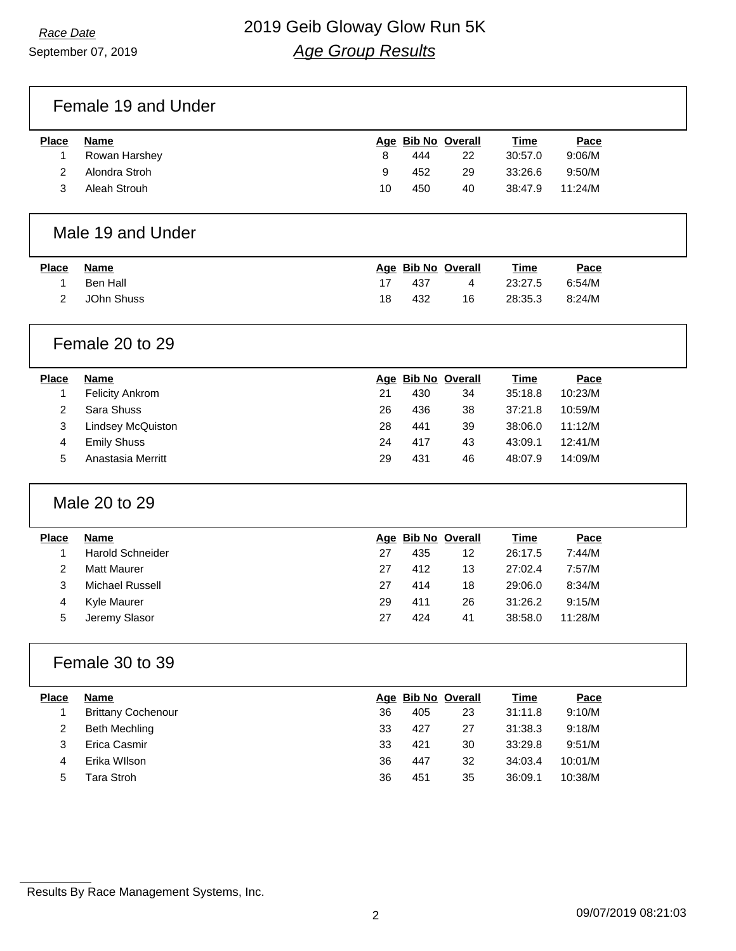Female 19 and Under

| <b>Place</b> | Name          |    |     | Age Bib No Overall | <b>Time</b> | Pace    |
|--------------|---------------|----|-----|--------------------|-------------|---------|
|              | Rowan Harshey |    | 444 | 22                 | 30:57.0     | 9:06/M  |
|              | Alondra Stroh | q  | 452 | 29                 | 33:26.6     | 9:50/M  |
|              | Aleah Strouh  | 10 | 450 | 40                 | 38:47.9     | 11:24/M |

### Male 19 and Under

| <b>Place</b> | Name       |    |     | Age Bib No Overall | <b>Time</b> | Pace   |
|--------------|------------|----|-----|--------------------|-------------|--------|
|              | Ben Hall   |    | 437 | 4                  | 23:27.5     | 6:54/M |
|              | JOhn Shuss | 18 | 432 | 16                 | 28:35.3     | 8:24/M |

## Female 20 to 29

| Place | Name                   |    |     | Age Bib No Overall | <b>Time</b> | Pace    |
|-------|------------------------|----|-----|--------------------|-------------|---------|
|       | <b>Felicity Ankrom</b> | 21 | 430 | 34                 | 35:18.8     | 10:23/M |
|       | Sara Shuss             | 26 | 436 | 38                 | 37:21.8     | 10:59/M |
|       | Lindsey McQuiston      | 28 | 441 | 39                 | 38:06.0     | 11:12/M |
| 4     | <b>Emily Shuss</b>     | 24 | 417 | 43                 | 43:09.1     | 12:41/M |
| 5     | Anastasia Merritt      | 29 | 431 | 46                 | 48:07.9     | 14:09/M |

### Male 20 to 29

| <b>Place</b> | Name             |    |     | Age Bib No Overall | <b>Time</b> | Pace    |
|--------------|------------------|----|-----|--------------------|-------------|---------|
|              | Harold Schneider | 27 | 435 | 12                 | 26:17.5     | 7:44/M  |
|              | Matt Maurer      | 27 | 412 | 13                 | 27:02.4     | 7:57/M  |
|              | Michael Russell  | 27 | 414 | 18                 | 29:06.0     | 8:34/M  |
| 4            | Kyle Maurer      | 29 | 411 | 26                 | 31:26.2     | 9:15/M  |
| 5            | Jeremy Slasor    | 27 | 424 | 41                 | 38:58.0     | 11:28/M |

### Female 30 to 39

| <b>Place</b> | Name                      |    |     | Age Bib No Overall | <b>Time</b> | Pace    |
|--------------|---------------------------|----|-----|--------------------|-------------|---------|
|              | <b>Brittany Cochenour</b> | 36 | 405 | 23                 | 31:11.8     | 9:10/M  |
| 2            | Beth Mechling             | 33 | 427 | 27                 | 31:38.3     | 9:18/M  |
| 3            | Erica Casmir              | 33 | 421 | 30                 | 33:29.8     | 9:51/M  |
| 4            | Erika Wilson              | 36 | 447 | 32                 | 34:03.4     | 10:01/M |
| 5            | Tara Stroh                | 36 | 451 | 35                 | 36:09.1     | 10:38/M |

Results By Race Management Systems, Inc.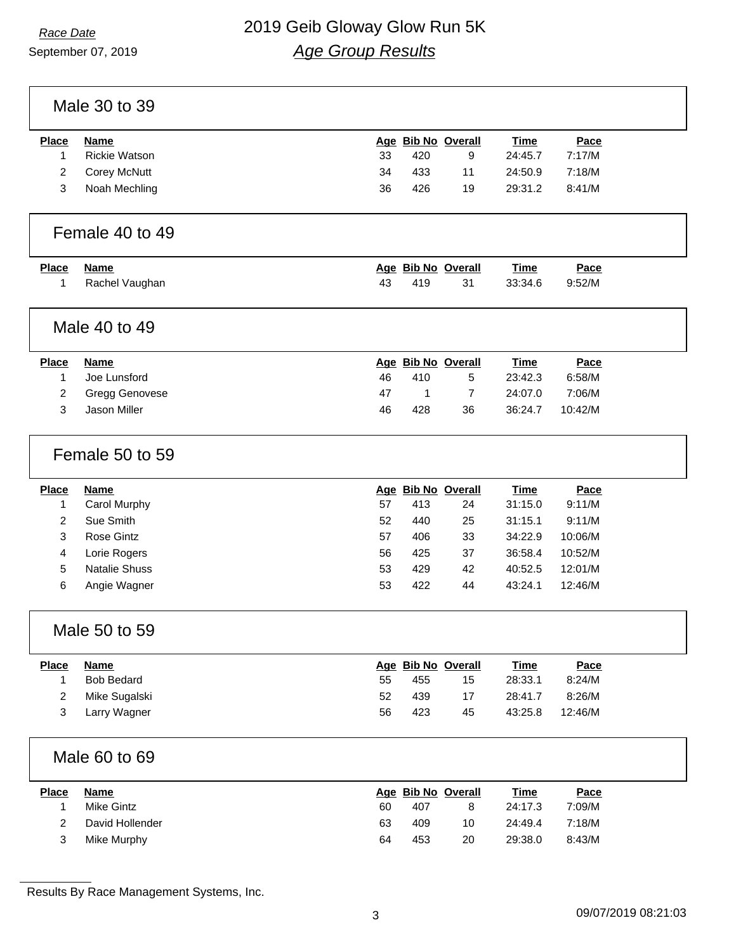September 07, 2019

# *Race Date* 2019 Geib Gloway Glow Run 5K *Age Group Results*

Male 30 to 39

| <b>Place</b> | Name          |    |     | Age Bib No Overall | Time    | Pace   |
|--------------|---------------|----|-----|--------------------|---------|--------|
|              | Rickie Watson | 33 | 420 | 9                  | 24:45.7 | 7:17/M |
|              | Corey McNutt  | 34 | 433 | 11                 | 24:50.9 | 7:18/M |
| 3            | Noah Mechling | 36 | 426 | 19                 | 29:31.2 | 8:41/M |
|              |               |    |     |                    |         |        |

### Female 40 to 49

| Place Name |                  |     | Age Bib No Overall |      | <b>Time</b> | Pace   |
|------------|------------------|-----|--------------------|------|-------------|--------|
|            | 1 Rachel Vaughan | 43. | 419                | - 31 | 33:34.6     | 9:52/M |

### Male 40 to 49

| <b>Place</b> | Name           |    |     | Age Bib No Overall | <b>Time</b> | Pace    |  |
|--------------|----------------|----|-----|--------------------|-------------|---------|--|
|              | Joe Lunsford   | 46 | 410 | 5                  | 23:42.3     | 6:58/M  |  |
|              | Gregg Genovese | 47 |     |                    | 24:07.0     | 7:06/M  |  |
|              | Jason Miller   | 46 | 428 | 36                 | 36:24.7     | 10:42/M |  |
|              |                |    |     |                    |             |         |  |

### Female 50 to 59

| <b>Place</b> | <b>Name</b>   |    | Age Bib No Overall |    | Time    | Pace    |
|--------------|---------------|----|--------------------|----|---------|---------|
|              | Carol Murphy  | 57 | 413                | 24 | 31:15.0 | 9:11/M  |
| 2            | Sue Smith     | 52 | 440                | 25 | 31:15.1 | 9:11/M  |
| 3            | Rose Gintz    | 57 | 406                | 33 | 34:22.9 | 10:06/M |
| 4            | Lorie Rogers  | 56 | 425                | 37 | 36:58.4 | 10:52/M |
| 5            | Natalie Shuss | 53 | 429                | 42 | 40:52.5 | 12:01/M |
| 6            | Angie Wagner  | 53 | 422                | 44 | 43:24.1 | 12:46/M |

#### Male 50 to 59

| <b>Place</b> | <b>Name</b>       |    |     | Age Bib No Overall | <u>Time</u> | <u>Pace</u> |
|--------------|-------------------|----|-----|--------------------|-------------|-------------|
|              | <b>Bob Bedard</b> | 55 | 455 | 15                 | 28:33.1     | 8:24/M      |
| 2            | Mike Sugalski     | 52 | 439 |                    | 28:41.7     | 8:26/M      |
|              | Larry Wagner      | 56 | 423 | 45                 | 43:25.8     | 12:46/M     |

## Male 60 to 69

| <b>Place</b> | Name            |    |     | Age Bib No Overall | <u>Time</u> | Pace   |
|--------------|-----------------|----|-----|--------------------|-------------|--------|
|              | Mike Gintz      | 60 | 407 |                    | 24:17.3     | 7:09/M |
|              | David Hollender | 63 | 409 | 10                 | 24:49.4     | 7:18/M |
|              | Mike Murphy     | 64 | 453 | 20                 | 29:38.0     | 8:43/M |

Results By Race Management Systems, Inc.